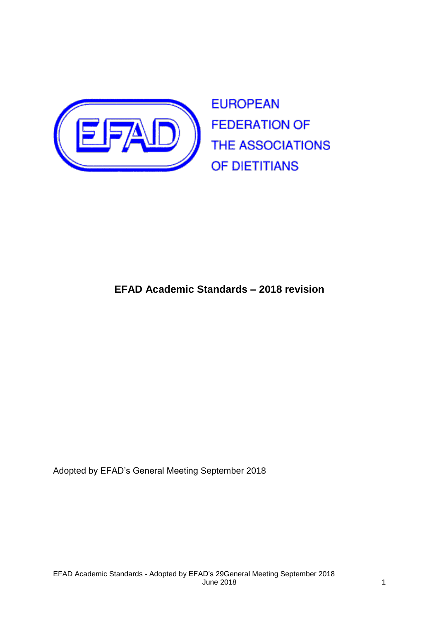

# **EFAD Academic Standards – 2018 revision**

Adopted by EFAD's General Meeting September 2018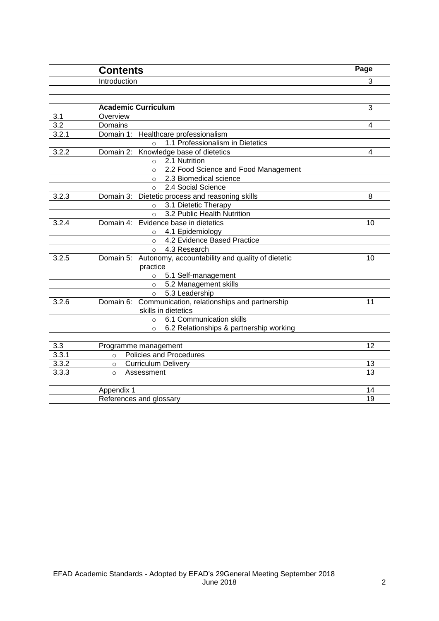|       | <b>Contents</b>                                            | Page |
|-------|------------------------------------------------------------|------|
|       | Introduction                                               | 3    |
|       |                                                            |      |
|       |                                                            |      |
|       | <b>Academic Curriculum</b>                                 | 3    |
| 3.1   | Overview                                                   |      |
| 3.2   | Domains                                                    | 4    |
| 3.2.1 | Domain 1: Healthcare professionalism                       |      |
|       | 1.1 Professionalism in Dietetics<br>$\circ$                |      |
| 3.2.2 | Knowledge base of dietetics<br>Domain 2:                   | 4    |
|       | o 2.1 Nutrition                                            |      |
|       | 2.2 Food Science and Food Management<br>$\circ$            |      |
|       | 2.3 Biomedical science<br>$\circ$                          |      |
|       | 2.4 Social Science<br>$\Omega$                             |      |
| 3.2.3 | Domain 3: Dietetic process and reasoning skills            | 8    |
|       | 3.1 Dietetic Therapy<br>$\circ$                            |      |
|       | 3.2 Public Health Nutrition<br>$\circ$                     |      |
| 3.2.4 | Evidence base in dietetics<br>Domain 4:                    | 10   |
|       | 4.1 Epidemiology<br>$\circ$                                |      |
|       | 4.2 Evidence Based Practice<br>$\circ$                     |      |
|       | 4.3 Research<br>$\Omega$                                   |      |
| 3.2.5 | Domain 5: Autonomy, accountability and quality of dietetic | 10   |
|       | practice                                                   |      |
|       | 5.1 Self-management<br>$\circ$                             |      |
|       | 5.2 Management skills<br>$\circ$                           |      |
|       | 5.3 Leadership<br>$\circ$                                  |      |
| 3.2.6 | Domain 6: Communication, relationships and partnership     | 11   |
|       | skills in dietetics                                        |      |
|       | 6.1 Communication skills<br>$\circ$                        |      |
|       | 6.2 Relationships & partnership working<br>$\circ$         |      |
| 3.3   | Programme management                                       | 12   |
| 3.3.1 | <b>Policies and Procedures</b><br>$\circ$                  |      |
| 3.3.2 | <b>Curriculum Delivery</b><br>$\circ$                      | 13   |
| 3.3.3 | Assessment<br>$\Omega$                                     | 13   |
|       |                                                            |      |
|       | Appendix 1                                                 | 14   |
|       | References and glossary                                    | 19   |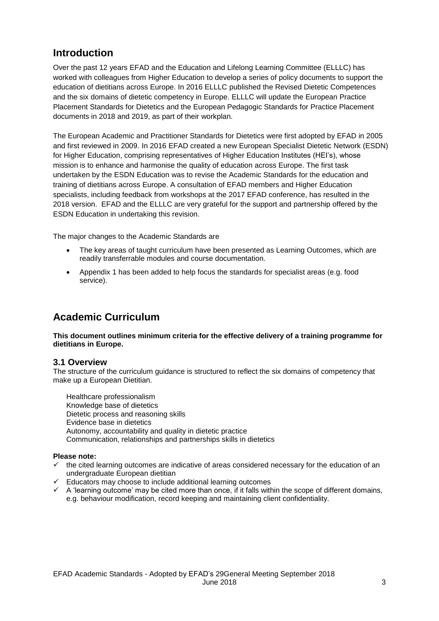# **Introduction**

Over the past 12 years EFAD and the Education and Lifelong Learning Committee (ELLLC) has worked with colleagues from Higher Education to develop a series of policy documents to support the education of dietitians across Europe. In 2016 ELLLC published the Revised Dietetic Competences and the six domains of dietetic competency in Europe. ELLLC will update the European Practice Placement Standards for Dietetics and the European Pedagogic Standards for Practice Placement documents in 2018 and 2019, as part of their workplan.

The European Academic and Practitioner Standards for Dietetics were first adopted by EFAD in 2005 and first reviewed in 2009. In 2016 EFAD created a new European Specialist Dietetic Network (ESDN) for Higher Education, comprising representatives of Higher Education Institutes (HEI's), whose mission is to enhance and harmonise the quality of education across Europe. The first task undertaken by the ESDN Education was to revise the Academic Standards for the education and training of dietitians across Europe. A consultation of EFAD members and Higher Education specialists, including feedback from workshops at the 2017 EFAD conference, has resulted in the 2018 version. EFAD and the ELLLC are very grateful for the support and partnership offered by the ESDN Education in undertaking this revision.

The major changes to the Academic Standards are

- The key areas of taught curriculum have been presented as Learning Outcomes, which are readily transferrable modules and course documentation.
- Appendix 1 has been added to help focus the standards for specialist areas (e.g. food service).

# **Academic Curriculum**

**This document outlines minimum criteria for the effective delivery of a training programme for dietitians in Europe.** 

### **3.1 Overview**

The structure of the curriculum guidance is structured to reflect the six domains of competency that make up a European Dietitian.

Healthcare professionalism Knowledge base of dietetics Dietetic process and reasoning skills Evidence base in dietetics Autonomy, accountability and quality in dietetic practice Communication, relationships and partnerships skills in dietetics

#### **Please note:**

- $\checkmark$  the cited learning outcomes are indicative of areas considered necessary for the education of an undergraduate European dietitian
- $\checkmark$  Educators may choose to include additional learning outcomes
- $\checkmark$  A 'learning outcome' may be cited more than once, if it falls within the scope of different domains, e.g. behaviour modification, record keeping and maintaining client confidentiality.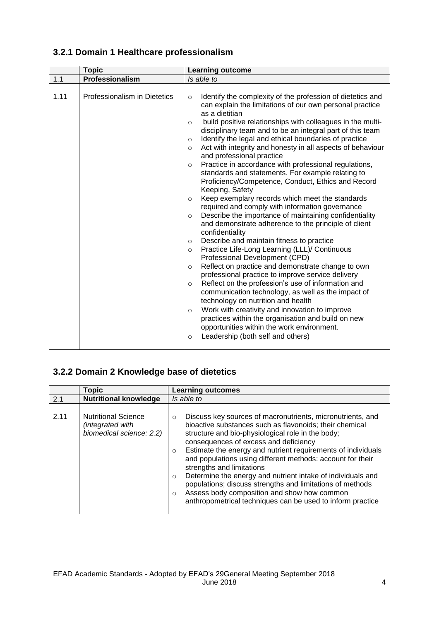|      | <b>Topic</b>                 | <b>Learning outcome</b>                                                                                                                                                                                                                                                                                                                                                                                                                                                                                                                                                                                                                                                                                                                                                                                                                                                                                                                                                                                                                                                                                                                                                                                                                                                                                                                                                                                                                                                                                                                            |
|------|------------------------------|----------------------------------------------------------------------------------------------------------------------------------------------------------------------------------------------------------------------------------------------------------------------------------------------------------------------------------------------------------------------------------------------------------------------------------------------------------------------------------------------------------------------------------------------------------------------------------------------------------------------------------------------------------------------------------------------------------------------------------------------------------------------------------------------------------------------------------------------------------------------------------------------------------------------------------------------------------------------------------------------------------------------------------------------------------------------------------------------------------------------------------------------------------------------------------------------------------------------------------------------------------------------------------------------------------------------------------------------------------------------------------------------------------------------------------------------------------------------------------------------------------------------------------------------------|
| 1.1  | Professionalism              | Is able to                                                                                                                                                                                                                                                                                                                                                                                                                                                                                                                                                                                                                                                                                                                                                                                                                                                                                                                                                                                                                                                                                                                                                                                                                                                                                                                                                                                                                                                                                                                                         |
| 1.11 | Professionalism in Dietetics | Identify the complexity of the profession of dietetics and<br>$\circ$<br>can explain the limitations of our own personal practice<br>as a dietitian<br>build positive relationships with colleagues in the multi-<br>$\Omega$<br>disciplinary team and to be an integral part of this team<br>Identify the legal and ethical boundaries of practice<br>$\circ$<br>Act with integrity and honesty in all aspects of behaviour<br>$\Omega$<br>and professional practice<br>Practice in accordance with professional regulations,<br>$\circ$<br>standards and statements. For example relating to<br>Proficiency/Competence, Conduct, Ethics and Record<br>Keeping, Safety<br>Keep exemplary records which meet the standards<br>$\circ$<br>required and comply with information governance<br>Describe the importance of maintaining confidentiality<br>$\circ$<br>and demonstrate adherence to the principle of client<br>confidentiality<br>Describe and maintain fitness to practice<br>$\circ$<br>Practice Life-Long Learning (LLL)/ Continuous<br>$\circ$<br>Professional Development (CPD)<br>Reflect on practice and demonstrate change to own<br>$\Omega$<br>professional practice to improve service delivery<br>Reflect on the profession's use of information and<br>$\circ$<br>communication technology, as well as the impact of<br>technology on nutrition and health<br>Work with creativity and innovation to improve<br>$\circ$<br>practices within the organisation and build on new<br>opportunities within the work environment. |
|      |                              | Leadership (both self and others)<br>$\circ$                                                                                                                                                                                                                                                                                                                                                                                                                                                                                                                                                                                                                                                                                                                                                                                                                                                                                                                                                                                                                                                                                                                                                                                                                                                                                                                                                                                                                                                                                                       |

## **3.2.1 Domain 1 Healthcare professionalism**

# **3.2.2 Domain 2 Knowledge base of dietetics**

|      | <b>Topic</b>                                                               | <b>Learning outcomes</b>                                                                                                                                                                                                                                                                                                                                                                                                                                                                                                                                                                                                                                            |
|------|----------------------------------------------------------------------------|---------------------------------------------------------------------------------------------------------------------------------------------------------------------------------------------------------------------------------------------------------------------------------------------------------------------------------------------------------------------------------------------------------------------------------------------------------------------------------------------------------------------------------------------------------------------------------------------------------------------------------------------------------------------|
| 2.1  | <b>Nutritional knowledge</b>                                               | Is able to                                                                                                                                                                                                                                                                                                                                                                                                                                                                                                                                                                                                                                                          |
| 2.11 | <b>Nutritional Science</b><br>(integrated with<br>biomedical science: 2.2) | Discuss key sources of macronutrients, micronutrients, and<br>$\circ$<br>bioactive substances such as flavonoids; their chemical<br>structure and bio-physiological role in the body;<br>consequences of excess and deficiency<br>Estimate the energy and nutrient requirements of individuals<br>$\circ$<br>and populations using different methods: account for their<br>strengths and limitations<br>Determine the energy and nutrient intake of individuals and<br>$\circ$<br>populations; discuss strengths and limitations of methods<br>Assess body composition and show how common<br>$\circ$<br>anthropometrical techniques can be used to inform practice |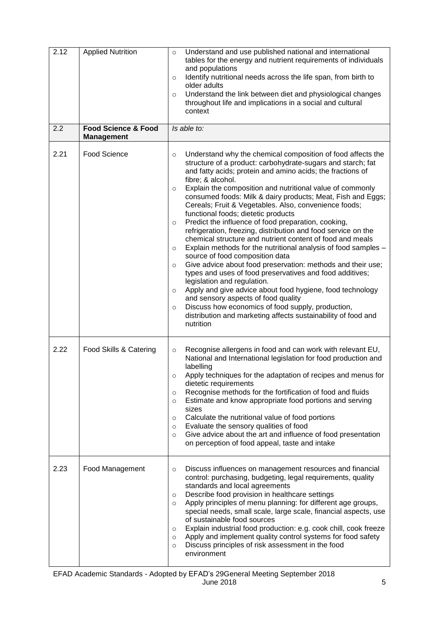| 2.12 | <b>Applied Nutrition</b>                            | Understand and use published national and international<br>$\circ$<br>tables for the energy and nutrient requirements of individuals<br>and populations<br>Identify nutritional needs across the life span, from birth to<br>$\circ$<br>older adults<br>Understand the link between diet and physiological changes<br>$\circ$<br>throughout life and implications in a social and cultural<br>context                                                                                                                                                                                                                                                                                                                                                                                                                                                                                                                                                                                                                                                                                                                                                                                                             |
|------|-----------------------------------------------------|-------------------------------------------------------------------------------------------------------------------------------------------------------------------------------------------------------------------------------------------------------------------------------------------------------------------------------------------------------------------------------------------------------------------------------------------------------------------------------------------------------------------------------------------------------------------------------------------------------------------------------------------------------------------------------------------------------------------------------------------------------------------------------------------------------------------------------------------------------------------------------------------------------------------------------------------------------------------------------------------------------------------------------------------------------------------------------------------------------------------------------------------------------------------------------------------------------------------|
| 2.2  | <b>Food Science &amp; Food</b><br><b>Management</b> | Is able to:                                                                                                                                                                                                                                                                                                                                                                                                                                                                                                                                                                                                                                                                                                                                                                                                                                                                                                                                                                                                                                                                                                                                                                                                       |
| 2.21 | Food Science                                        | Understand why the chemical composition of food affects the<br>$\circ$<br>structure of a product: carbohydrate-sugars and starch; fat<br>and fatty acids; protein and amino acids; the fractions of<br>fibre; & alcohol.<br>Explain the composition and nutritional value of commonly<br>$\circ$<br>consumed foods: Milk & dairy products; Meat, Fish and Eggs;<br>Cereals; Fruit & Vegetables. Also, convenience foods;<br>functional foods; dietetic products<br>Predict the influence of food preparation, cooking,<br>$\circ$<br>refrigeration, freezing, distribution and food service on the<br>chemical structure and nutrient content of food and meals<br>Explain methods for the nutritional analysis of food samples -<br>$\circ$<br>source of food composition data<br>Give advice about food preservation: methods and their use;<br>$\circ$<br>types and uses of food preservatives and food additives;<br>legislation and regulation.<br>Apply and give advice about food hygiene, food technology<br>$\circ$<br>and sensory aspects of food quality<br>Discuss how economics of food supply, production,<br>$\circ$<br>distribution and marketing affects sustainability of food and<br>nutrition |
| 2.22 | Food Skills & Catering                              | Recognise allergens in food and can work with relevant EU,<br>$\circ$<br>National and International legislation for food production and<br>labelling<br>Apply techniques for the adaptation of recipes and menus for<br>dietetic requirements<br>Recognise methods for the fortification of food and fluids<br>$\circ$<br>Estimate and know appropriate food portions and serving<br>$\circ$<br>sizes<br>Calculate the nutritional value of food portions<br>$\circ$<br>Evaluate the sensory qualities of food<br>$\circ$<br>Give advice about the art and influence of food presentation<br>$\circ$<br>on perception of food appeal, taste and intake                                                                                                                                                                                                                                                                                                                                                                                                                                                                                                                                                            |
| 2.23 | Food Management                                     | Discuss influences on management resources and financial<br>$\circ$<br>control: purchasing, budgeting, legal requirements, quality<br>standards and local agreements<br>Describe food provision in healthcare settings<br>$\circ$<br>Apply principles of menu planning: for different age groups,<br>$\circ$<br>special needs, small scale, large scale, financial aspects, use<br>of sustainable food sources<br>Explain industrial food production: e.g. cook chill, cook freeze<br>$\circ$<br>Apply and implement quality control systems for food safety<br>$\circ$<br>Discuss principles of risk assessment in the food<br>$\circ$<br>environment                                                                                                                                                                                                                                                                                                                                                                                                                                                                                                                                                            |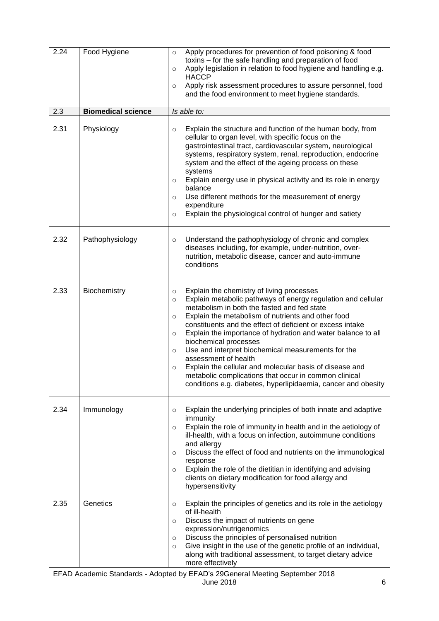| 2.24 | Food Hygiene              | Apply procedures for prevention of food poisoning & food<br>$\circ$<br>toxins – for the safe handling and preparation of food<br>Apply legislation in relation to food hygiene and handling e.g.<br>$\circ$<br><b>HACCP</b><br>Apply risk assessment procedures to assure personnel, food<br>$\circ$<br>and the food environment to meet hygiene standards.                                                                                                                                                                                                                                                                                                                                               |
|------|---------------------------|-----------------------------------------------------------------------------------------------------------------------------------------------------------------------------------------------------------------------------------------------------------------------------------------------------------------------------------------------------------------------------------------------------------------------------------------------------------------------------------------------------------------------------------------------------------------------------------------------------------------------------------------------------------------------------------------------------------|
| 2.3  | <b>Biomedical science</b> | Is able to:                                                                                                                                                                                                                                                                                                                                                                                                                                                                                                                                                                                                                                                                                               |
| 2.31 | Physiology                | Explain the structure and function of the human body, from<br>$\circ$<br>cellular to organ level, with specific focus on the<br>gastrointestinal tract, cardiovascular system, neurological<br>systems, respiratory system, renal, reproduction, endocrine<br>system and the effect of the ageing process on these<br>systems<br>Explain energy use in physical activity and its role in energy<br>$\circ$<br>balance<br>Use different methods for the measurement of energy<br>$\circ$<br>expenditure<br>Explain the physiological control of hunger and satiety<br>$\circ$                                                                                                                              |
| 2.32 | Pathophysiology           | Understand the pathophysiology of chronic and complex<br>$\circ$<br>diseases including, for example, under-nutrition, over-<br>nutrition, metabolic disease, cancer and auto-immune<br>conditions                                                                                                                                                                                                                                                                                                                                                                                                                                                                                                         |
| 2.33 | Biochemistry              | Explain the chemistry of living processes<br>$\circ$<br>Explain metabolic pathways of energy regulation and cellular<br>$\circ$<br>metabolism in both the fasted and fed state<br>Explain the metabolism of nutrients and other food<br>$\circ$<br>constituents and the effect of deficient or excess intake<br>Explain the importance of hydration and water balance to all<br>$\circ$<br>biochemical processes<br>Use and interpret biochemical measurements for the<br>$\circ$<br>assessment of health<br>Explain the cellular and molecular basis of disease and<br>$\circ$<br>metabolic complications that occur in common clinical<br>conditions e.g. diabetes, hyperlipidaemia, cancer and obesity |
| 2.34 | Immunology                | Explain the underlying principles of both innate and adaptive<br>$\circ$<br>immunity<br>Explain the role of immunity in health and in the aetiology of<br>$\circ$<br>ill-health, with a focus on infection, autoimmune conditions<br>and allergy<br>Discuss the effect of food and nutrients on the immunological<br>$\circ$<br>response<br>Explain the role of the dietitian in identifying and advising<br>$\circ$<br>clients on dietary modification for food allergy and<br>hypersensitivity                                                                                                                                                                                                          |
| 2.35 | Genetics                  | Explain the principles of genetics and its role in the aetiology<br>$\circ$<br>of ill-health<br>Discuss the impact of nutrients on gene<br>$\circ$<br>expression/nutrigenomics<br>Discuss the principles of personalised nutrition<br>$\circ$<br>Give insight in the use of the genetic profile of an individual,<br>$\circ$<br>along with traditional assessment, to target dietary advice<br>more effectively                                                                                                                                                                                                                                                                                           |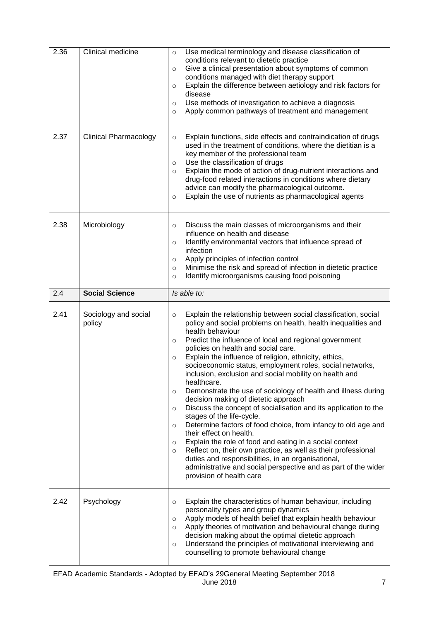| 2.36 | Clinical medicine            | Use medical terminology and disease classification of<br>$\circ$<br>conditions relevant to dietetic practice<br>Give a clinical presentation about symptoms of common<br>$\circ$<br>conditions managed with diet therapy support<br>Explain the difference between aetiology and risk factors for<br>$\circ$<br>disease<br>Use methods of investigation to achieve a diagnosis<br>O<br>Apply common pathways of treatment and management<br>O                                                                                                                                                                                                                                                                                                                                                                                                                                                                                                                                                                                    |
|------|------------------------------|----------------------------------------------------------------------------------------------------------------------------------------------------------------------------------------------------------------------------------------------------------------------------------------------------------------------------------------------------------------------------------------------------------------------------------------------------------------------------------------------------------------------------------------------------------------------------------------------------------------------------------------------------------------------------------------------------------------------------------------------------------------------------------------------------------------------------------------------------------------------------------------------------------------------------------------------------------------------------------------------------------------------------------|
| 2.37 | <b>Clinical Pharmacology</b> | Explain functions, side effects and contraindication of drugs<br>$\circ$<br>used in the treatment of conditions, where the dietitian is a<br>key member of the professional team<br>Use the classification of drugs<br>$\circ$<br>Explain the mode of action of drug-nutrient interactions and<br>$\circ$<br>drug-food related interactions in conditions where dietary<br>advice can modify the pharmacological outcome.<br>Explain the use of nutrients as pharmacological agents<br>$\circ$                                                                                                                                                                                                                                                                                                                                                                                                                                                                                                                                   |
| 2.38 | Microbiology                 | Discuss the main classes of microorganisms and their<br>$\circ$<br>influence on health and disease<br>Identify environmental vectors that influence spread of<br>$\circ$<br>infection<br>Apply principles of infection control<br>$\circ$<br>Minimise the risk and spread of infection in dietetic practice<br>$\circ$<br>Identify microorganisms causing food poisoning<br>$\circ$                                                                                                                                                                                                                                                                                                                                                                                                                                                                                                                                                                                                                                              |
| 2.4  | <b>Social Science</b>        | Is able to:                                                                                                                                                                                                                                                                                                                                                                                                                                                                                                                                                                                                                                                                                                                                                                                                                                                                                                                                                                                                                      |
| 2.41 | Sociology and social         | Explain the relationship between social classification, social<br>$\circ$                                                                                                                                                                                                                                                                                                                                                                                                                                                                                                                                                                                                                                                                                                                                                                                                                                                                                                                                                        |
|      | policy                       | policy and social problems on health, health inequalities and<br>health behaviour<br>Predict the influence of local and regional government<br>$\circ$<br>policies on health and social care.<br>Explain the influence of religion, ethnicity, ethics,<br>$\circ$<br>socioeconomic status, employment roles, social networks,<br>inclusion, exclusion and social mobility on health and<br>healthcare.<br>Demonstrate the use of sociology of health and illness during<br>$\circ$<br>decision making of dietetic approach<br>Discuss the concept of socialisation and its application to the<br>O<br>stages of the life-cycle.<br>Determine factors of food choice, from infancy to old age and<br>O<br>their effect on health.<br>Explain the role of food and eating in a social context<br>O<br>Reflect on, their own practice, as well as their professional<br>$\circ$<br>duties and responsibilities, in an organisational,<br>administrative and social perspective and as part of the wider<br>provision of health care |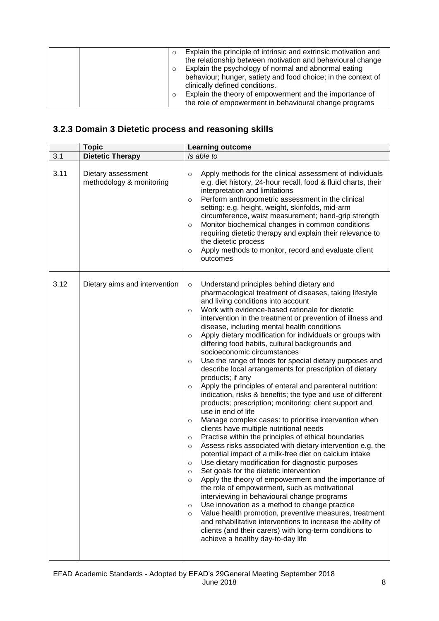| Explain the principle of intrinsic and extrinsic motivation and<br>the relationship between motivation and behavioural change<br>Explain the psychology of normal and abnormal eating<br>behaviour; hunger, satiety and food choice; in the context of<br>clinically defined conditions. |
|------------------------------------------------------------------------------------------------------------------------------------------------------------------------------------------------------------------------------------------------------------------------------------------|
| Explain the theory of empowerment and the importance of<br>the role of empowerment in behavioural change programs                                                                                                                                                                        |

# **3.2.3 Domain 3 Dietetic process and reasoning skills**

|      | <b>Topic</b>                                   | <b>Learning outcome</b>                                                                                                                                                                                                                                                                                                                                                                                                                                                                                                                                                                                                                                                                                                                                                                                                                                                                                                                                                                                                                                                                                                                                                                                                                                                                                                                                                                                                                                                                                                                                                                                                                                                                                                                                                       |
|------|------------------------------------------------|-------------------------------------------------------------------------------------------------------------------------------------------------------------------------------------------------------------------------------------------------------------------------------------------------------------------------------------------------------------------------------------------------------------------------------------------------------------------------------------------------------------------------------------------------------------------------------------------------------------------------------------------------------------------------------------------------------------------------------------------------------------------------------------------------------------------------------------------------------------------------------------------------------------------------------------------------------------------------------------------------------------------------------------------------------------------------------------------------------------------------------------------------------------------------------------------------------------------------------------------------------------------------------------------------------------------------------------------------------------------------------------------------------------------------------------------------------------------------------------------------------------------------------------------------------------------------------------------------------------------------------------------------------------------------------------------------------------------------------------------------------------------------------|
| 3.1  | <b>Dietetic Therapy</b>                        | Is able to                                                                                                                                                                                                                                                                                                                                                                                                                                                                                                                                                                                                                                                                                                                                                                                                                                                                                                                                                                                                                                                                                                                                                                                                                                                                                                                                                                                                                                                                                                                                                                                                                                                                                                                                                                    |
| 3.11 | Dietary assessment<br>methodology & monitoring | Apply methods for the clinical assessment of individuals<br>$\circ$<br>e.g. diet history, 24-hour recall, food & fluid charts, their<br>interpretation and limitations<br>Perform anthropometric assessment in the clinical<br>$\circ$<br>setting: e.g. height, weight, skinfolds, mid-arm<br>circumference, waist measurement; hand-grip strength<br>Monitor biochemical changes in common conditions<br>$\circ$<br>requiring dietetic therapy and explain their relevance to<br>the dietetic process<br>Apply methods to monitor, record and evaluate client<br>$\circ$<br>outcomes                                                                                                                                                                                                                                                                                                                                                                                                                                                                                                                                                                                                                                                                                                                                                                                                                                                                                                                                                                                                                                                                                                                                                                                         |
| 3.12 | Dietary aims and intervention                  | Understand principles behind dietary and<br>$\circ$<br>pharmacological treatment of diseases, taking lifestyle<br>and living conditions into account<br>Work with evidence-based rationale for dietetic<br>$\circ$<br>intervention in the treatment or prevention of illness and<br>disease, including mental health conditions<br>Apply dietary modification for individuals or groups with<br>$\circ$<br>differing food habits, cultural backgrounds and<br>socioeconomic circumstances<br>Use the range of foods for special dietary purposes and<br>$\circ$<br>describe local arrangements for prescription of dietary<br>products; if any<br>Apply the principles of enteral and parenteral nutrition:<br>$\circ$<br>indication, risks & benefits; the type and use of different<br>products; prescription; monitoring; client support and<br>use in end of life<br>Manage complex cases: to prioritise intervention when<br>$\circ$<br>clients have multiple nutritional needs<br>Practise within the principles of ethical boundaries<br>$\circ$<br>Assess risks associated with dietary intervention e.g. the<br>$\circ$<br>potential impact of a milk-free diet on calcium intake<br>Use dietary modification for diagnostic purposes<br>$\circ$<br>Set goals for the dietetic intervention<br>$\circ$<br>Apply the theory of empowerment and the importance of<br>$\circ$<br>the role of empowerment, such as motivational<br>interviewing in behavioural change programs<br>Use innovation as a method to change practice<br>O<br>Value health promotion, preventive measures, treatment<br>$\circ$<br>and rehabilitative interventions to increase the ability of<br>clients (and their carers) with long-term conditions to<br>achieve a healthy day-to-day life |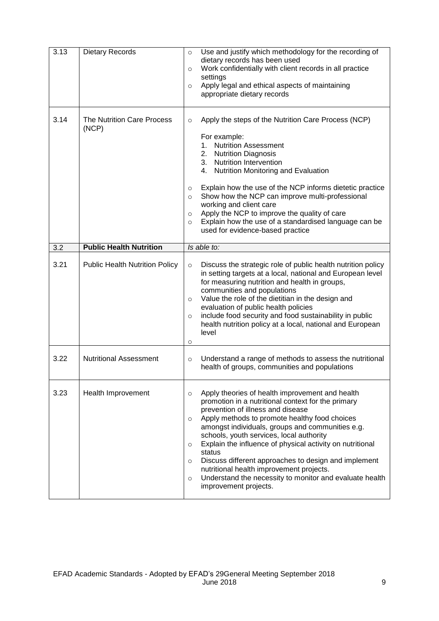| 3.13 | <b>Dietary Records</b>                     | Use and justify which methodology for the recording of<br>$\circ$<br>dietary records has been used<br>Work confidentially with client records in all practice<br>$\circ$<br>settings<br>Apply legal and ethical aspects of maintaining<br>$\circ$<br>appropriate dietary records                                                                                                                                                                                                                                                                                                                      |
|------|--------------------------------------------|-------------------------------------------------------------------------------------------------------------------------------------------------------------------------------------------------------------------------------------------------------------------------------------------------------------------------------------------------------------------------------------------------------------------------------------------------------------------------------------------------------------------------------------------------------------------------------------------------------|
| 3.14 | <b>The Nutrition Care Process</b><br>(NCP) | Apply the steps of the Nutrition Care Process (NCP)<br>$\circ$<br>For example:<br>1. Nutrition Assessment<br>2. Nutrition Diagnosis<br>3. Nutrition Intervention<br>4. Nutrition Monitoring and Evaluation<br>Explain how the use of the NCP informs dietetic practice<br>$\circ$<br>Show how the NCP can improve multi-professional<br>$\circ$<br>working and client care<br>Apply the NCP to improve the quality of care<br>$\circ$<br>Explain how the use of a standardised language can be<br>$\circ$<br>used for evidence-based practice                                                         |
| 3.2  | <b>Public Health Nutrition</b>             | Is able to:                                                                                                                                                                                                                                                                                                                                                                                                                                                                                                                                                                                           |
| 3.21 | <b>Public Health Nutrition Policy</b>      | Discuss the strategic role of public health nutrition policy<br>$\circ$<br>in setting targets at a local, national and European level<br>for measuring nutrition and health in groups,<br>communities and populations<br>Value the role of the dietitian in the design and<br>$\circ$<br>evaluation of public health policies<br>include food security and food sustainability in public<br>$\circ$<br>health nutrition policy at a local, national and European<br>level<br>O                                                                                                                        |
| 3.22 | <b>Nutritional Assessment</b>              | Understand a range of methods to assess the nutritional<br>$\circ$<br>health of groups, communities and populations                                                                                                                                                                                                                                                                                                                                                                                                                                                                                   |
| 3.23 | Health Improvement                         | Apply theories of health improvement and health<br>$\circ$<br>promotion in a nutritional context for the primary<br>prevention of illness and disease<br>Apply methods to promote healthy food choices<br>$\circ$<br>amongst individuals, groups and communities e.g.<br>schools, youth services, local authority<br>Explain the influence of physical activity on nutritional<br>$\circ$<br>status<br>Discuss different approaches to design and implement<br>O<br>nutritional health improvement projects.<br>Understand the necessity to monitor and evaluate health<br>O<br>improvement projects. |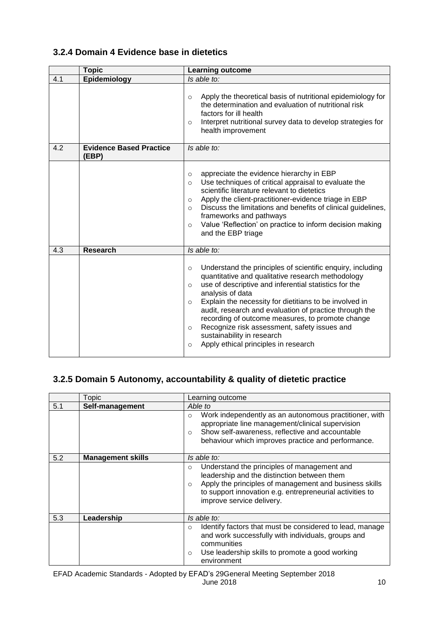## **3.2.4 Domain 4 Evidence base in dietetics**

|     | <b>Topic</b>                            | <b>Learning outcome</b>                                                                                                                                                                                                                                                                                                                                                                                                                                                                                                                             |
|-----|-----------------------------------------|-----------------------------------------------------------------------------------------------------------------------------------------------------------------------------------------------------------------------------------------------------------------------------------------------------------------------------------------------------------------------------------------------------------------------------------------------------------------------------------------------------------------------------------------------------|
| 4.1 | Epidemiology                            | Is able to:                                                                                                                                                                                                                                                                                                                                                                                                                                                                                                                                         |
|     |                                         | Apply the theoretical basis of nutritional epidemiology for<br>$\Omega$<br>the determination and evaluation of nutritional risk<br>factors for ill health<br>Interpret nutritional survey data to develop strategies for<br>$\circ$<br>health improvement                                                                                                                                                                                                                                                                                           |
| 4.2 | <b>Evidence Based Practice</b><br>(EBP) | Is able to:                                                                                                                                                                                                                                                                                                                                                                                                                                                                                                                                         |
|     |                                         | appreciate the evidence hierarchy in EBP<br>$\circ$<br>Use techniques of critical appraisal to evaluate the<br>$\Omega$<br>scientific literature relevant to dietetics<br>Apply the client-practitioner-evidence triage in EBP<br>$\circ$<br>Discuss the limitations and benefits of clinical guidelines,<br>$\circ$<br>frameworks and pathways<br>Value 'Reflection' on practice to inform decision making<br>$\circ$<br>and the EBP triage                                                                                                        |
| 4.3 | <b>Research</b>                         | Is able to:                                                                                                                                                                                                                                                                                                                                                                                                                                                                                                                                         |
|     |                                         | Understand the principles of scientific enquiry, including<br>$\circ$<br>quantitative and qualitative research methodology<br>use of descriptive and inferential statistics for the<br>$\circ$<br>analysis of data<br>Explain the necessity for dietitians to be involved in<br>$\Omega$<br>audit, research and evaluation of practice through the<br>recording of outcome measures, to promote change<br>Recognize risk assessment, safety issues and<br>$\circ$<br>sustainability in research<br>Apply ethical principles in research<br>$\Omega$ |

# **3.2.5 Domain 5 Autonomy, accountability & quality of dietetic practice**

|     | Topic                    | Learning outcome                                                                                                                                                                                                                                         |
|-----|--------------------------|----------------------------------------------------------------------------------------------------------------------------------------------------------------------------------------------------------------------------------------------------------|
| 5.1 | Self-management          | Able to                                                                                                                                                                                                                                                  |
|     |                          | Work independently as an autonomous practitioner, with<br>$\Omega$<br>appropriate line management/clinical supervision<br>Show self-awareness, reflective and accountable<br>$\Omega$<br>behaviour which improves practice and performance.              |
| 5.2 | <b>Management skills</b> | Is able to:                                                                                                                                                                                                                                              |
|     |                          | Understand the principles of management and<br>$\circ$<br>leadership and the distinction between them<br>Apply the principles of management and business skills<br>to support innovation e.g. entrepreneurial activities to<br>improve service delivery. |
| 5.3 | Leadership               | Is able to:                                                                                                                                                                                                                                              |
|     |                          | Identify factors that must be considered to lead, manage<br>$\Omega$<br>and work successfully with individuals, groups and<br>communities<br>Use leadership skills to promote a good working<br>$\circ$<br>environment                                   |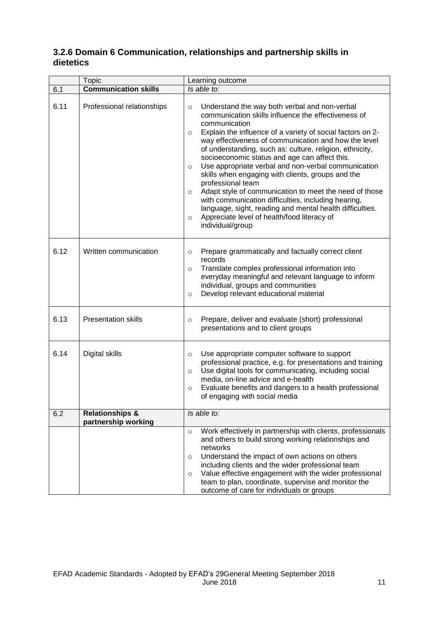|      | <b>Topic</b>                                      | Learning outcome                                                                                                                                                                                                                                                                                                                                                                                                                                                                                                                                                                                                                                                                                                                                                                                 |
|------|---------------------------------------------------|--------------------------------------------------------------------------------------------------------------------------------------------------------------------------------------------------------------------------------------------------------------------------------------------------------------------------------------------------------------------------------------------------------------------------------------------------------------------------------------------------------------------------------------------------------------------------------------------------------------------------------------------------------------------------------------------------------------------------------------------------------------------------------------------------|
| 6.1  | <b>Communication skills</b>                       | Is able to:                                                                                                                                                                                                                                                                                                                                                                                                                                                                                                                                                                                                                                                                                                                                                                                      |
| 6.11 | Professional relationships                        | Understand the way both verbal and non-verbal<br>$\circ$<br>communication skills influence the effectiveness of<br>communication<br>Explain the influence of a variety of social factors on 2-<br>$\circ$<br>way effectiveness of communication and how the level<br>of understanding, such as: culture, religion, ethnicity,<br>socioeconomic status and age can affect this.<br>Use appropriate verbal and non-verbal communication<br>$\circ$<br>skills when engaging with clients, groups and the<br>professional team<br>Adapt style of communication to meet the need of those<br>$\circ$<br>with communication difficulties, including hearing,<br>language, sight, reading and mental health difficulties.<br>Appreciate level of health/food literacy of<br>$\circ$<br>individual/group |
| 6.12 | Written communication                             | Prepare grammatically and factually correct client<br>$\circ$<br>records<br>Translate complex professional information into<br>$\circ$<br>everyday meaningful and relevant language to inform<br>individual, groups and communities<br>Develop relevant educational material<br>$\circ$                                                                                                                                                                                                                                                                                                                                                                                                                                                                                                          |
| 6.13 | <b>Presentation skills</b>                        | Prepare, deliver and evaluate (short) professional<br>$\circ$<br>presentations and to client groups                                                                                                                                                                                                                                                                                                                                                                                                                                                                                                                                                                                                                                                                                              |
| 6.14 | Digital skills                                    | Use appropriate computer software to support<br>$\circ$<br>professional practice, e.g. for presentations and training<br>Use digital tools for communicating, including social<br>$\circ$<br>media, on-line advice and e-health<br>Evaluate benefits and dangers to a health professional<br>$\circ$<br>of engaging with social media                                                                                                                                                                                                                                                                                                                                                                                                                                                            |
| 6.2  | <b>Relationships &amp;</b><br>partnership working | Is able to:                                                                                                                                                                                                                                                                                                                                                                                                                                                                                                                                                                                                                                                                                                                                                                                      |
|      |                                                   | Work effectively in partnership with clients, professionals<br>$\circ$<br>and others to build strong working relationships and<br>networks<br>Understand the impact of own actions on others<br>$\circ$<br>including clients and the wider professional team<br>Value effective engagement with the wider professional<br>$\circ$<br>team to plan, coordinate, supervise and monitor the<br>outcome of care for individuals or groups                                                                                                                                                                                                                                                                                                                                                            |

## **3.2.6 Domain 6 Communication, relationships and partnership skills in dietetics**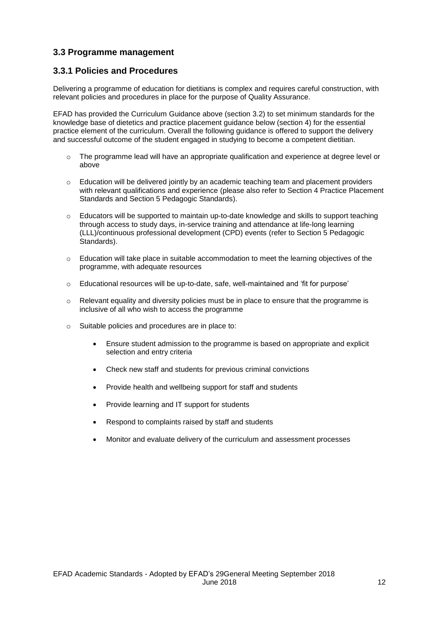### **3.3 Programme management**

### **3.3.1 Policies and Procedures**

Delivering a programme of education for dietitians is complex and requires careful construction, with relevant policies and procedures in place for the purpose of Quality Assurance.

EFAD has provided the Curriculum Guidance above (section 3.2) to set minimum standards for the knowledge base of dietetics and practice placement guidance below (section 4) for the essential practice element of the curriculum. Overall the following guidance is offered to support the delivery and successful outcome of the student engaged in studying to become a competent dietitian.

- o The programme lead will have an appropriate qualification and experience at degree level or above
- $\circ$  Education will be delivered jointly by an academic teaching team and placement providers with relevant qualifications and experience (please also refer to Section 4 Practice Placement Standards and Section 5 Pedagogic Standards).
- $\circ$  Educators will be supported to maintain up-to-date knowledge and skills to support teaching through access to study days, in-service training and attendance at life-long learning (LLL)/continuous professional development (CPD) events (refer to Section 5 Pedagogic Standards).
- $\circ$  Education will take place in suitable accommodation to meet the learning objectives of the programme, with adequate resources
- $\circ$  Educational resources will be up-to-date, safe, well-maintained and 'fit for purpose'
- $\circ$  Relevant equality and diversity policies must be in place to ensure that the programme is inclusive of all who wish to access the programme
- o Suitable policies and procedures are in place to:
	- Ensure student admission to the programme is based on appropriate and explicit selection and entry criteria
	- Check new staff and students for previous criminal convictions
	- Provide health and wellbeing support for staff and students
	- Provide learning and IT support for students
	- Respond to complaints raised by staff and students
	- Monitor and evaluate delivery of the curriculum and assessment processes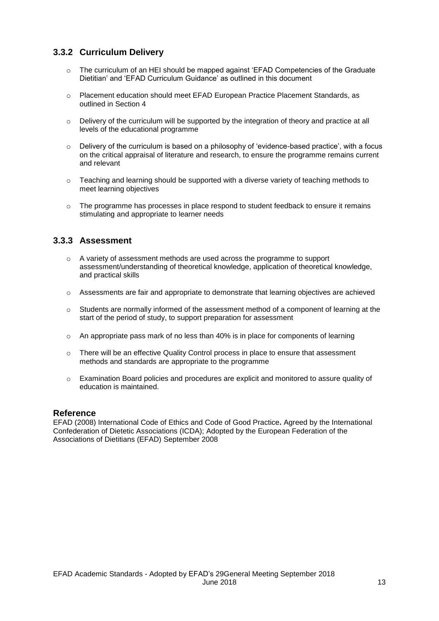## **3.3.2 Curriculum Delivery**

- o The curriculum of an HEI should be mapped against 'EFAD Competencies of the Graduate Dietitian' and 'EFAD Curriculum Guidance' as outlined in this document
- o Placement education should meet EFAD European Practice Placement Standards, as outlined in Section 4
- $\circ$  Delivery of the curriculum will be supported by the integration of theory and practice at all levels of the educational programme
- $\circ$  Delivery of the curriculum is based on a philosophy of 'evidence-based practice', with a focus on the critical appraisal of literature and research, to ensure the programme remains current and relevant
- $\circ$  Teaching and learning should be supported with a diverse variety of teaching methods to meet learning objectives
- o The programme has processes in place respond to student feedback to ensure it remains stimulating and appropriate to learner needs

### **3.3.3 Assessment**

- $\circ$  A variety of assessment methods are used across the programme to support assessment/understanding of theoretical knowledge, application of theoretical knowledge, and practical skills
- o Assessments are fair and appropriate to demonstrate that learning objectives are achieved
- $\circ$  Students are normally informed of the assessment method of a component of learning at the start of the period of study, to support preparation for assessment
- $\circ$  An appropriate pass mark of no less than 40% is in place for components of learning
- $\circ$  There will be an effective Quality Control process in place to ensure that assessment methods and standards are appropriate to the programme
- o Examination Board policies and procedures are explicit and monitored to assure quality of education is maintained.

#### **Reference**

EFAD (2008) International Code of Ethics and Code of Good Practice**.** Agreed by the International Confederation of Dietetic Associations (ICDA); Adopted by the European Federation of the Associations of Dietitians (EFAD) September 2008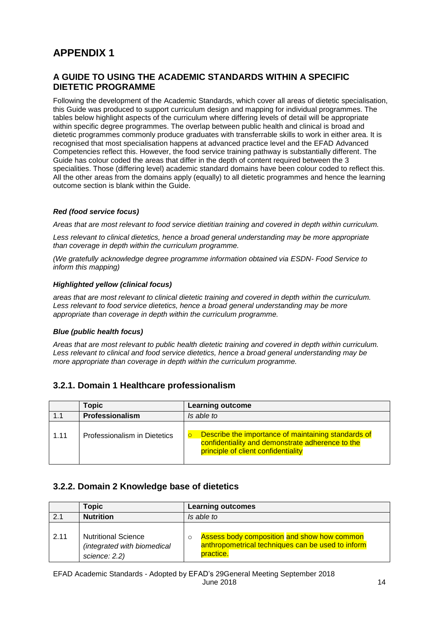# **APPENDIX 1**

### **A GUIDE TO USING THE ACADEMIC STANDARDS WITHIN A SPECIFIC DIETETIC PROGRAMME**

Following the development of the Academic Standards, which cover all areas of dietetic specialisation, this Guide was produced to support curriculum design and mapping for individual programmes. The tables below highlight aspects of the curriculum where differing levels of detail will be appropriate within specific degree programmes. The overlap between public health and clinical is broad and dietetic programmes commonly produce graduates with transferrable skills to work in either area. It is recognised that most specialisation happens at advanced practice level and the EFAD Advanced Competencies reflect this. However, the food service training pathway is substantially different. The Guide has colour coded the areas that differ in the depth of content required between the 3 specialities. Those (differing level) academic standard domains have been colour coded to reflect this. All the other areas from the domains apply (equally) to all dietetic programmes and hence the learning outcome section is blank within the Guide.

### *Red (food service focus)*

*Areas that are most relevant to food service dietitian training and covered in depth within curriculum.* 

*Less relevant to clinical dietetics, hence a broad general understanding may be more appropriate than coverage in depth within the curriculum programme.* 

*(We gratefully acknowledge degree programme information obtained via ESDN- Food Service to inform this mapping)*

#### *Highlighted yellow (clinical focus)*

*areas that are most relevant to clinical dietetic training and covered in depth within the curriculum.*  Less relevant to food service dietetics, hence a broad general understanding may be more *appropriate than coverage in depth within the curriculum programme.*

#### *Blue (public health focus)*

*Areas that are most relevant to public health dietetic training and covered in depth within curriculum. Less relevant to clinical and food service dietetics, hence a broad general understanding may be more appropriate than coverage in depth within the curriculum programme.*

### **3.2.1. Domain 1 Healthcare professionalism**

|      | <b>Topic</b>                 | <b>Learning outcome</b>                                                                                                                        |
|------|------------------------------|------------------------------------------------------------------------------------------------------------------------------------------------|
| 1.1  | Professionalism              | Is able to                                                                                                                                     |
| 1.11 | Professionalism in Dietetics | Describe the importance of maintaining standards of<br>confidentiality and demonstrate adherence to the<br>principle of client confidentiality |

### **3.2.2. Domain 2 Knowledge base of dietetics**

|      | <b>Topic</b>                                                               | <b>Learning outcomes</b>                                                                                      |
|------|----------------------------------------------------------------------------|---------------------------------------------------------------------------------------------------------------|
| 2.1  | <b>Nutrition</b>                                                           | Is able to                                                                                                    |
| 2.11 | <b>Nutritional Science</b><br>(integrated with biomedical<br>science: 2.2) | Assess body composition and show how common<br>anthropometrical techniques can be used to inform<br>practice. |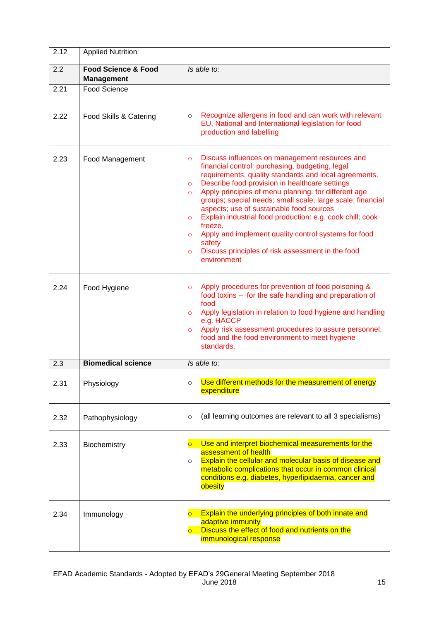| 2.12 | <b>Applied Nutrition</b>                            |                                                                                                                                                                                                                                                                                                                                                                                                                                                                                                                                                                                                                                                                 |
|------|-----------------------------------------------------|-----------------------------------------------------------------------------------------------------------------------------------------------------------------------------------------------------------------------------------------------------------------------------------------------------------------------------------------------------------------------------------------------------------------------------------------------------------------------------------------------------------------------------------------------------------------------------------------------------------------------------------------------------------------|
| 2.2  | <b>Food Science &amp; Food</b><br><b>Management</b> | Is able to:                                                                                                                                                                                                                                                                                                                                                                                                                                                                                                                                                                                                                                                     |
| 2.21 | Food Science                                        |                                                                                                                                                                                                                                                                                                                                                                                                                                                                                                                                                                                                                                                                 |
| 2.22 | Food Skills & Catering                              | Recognize allergens in food and can work with relevant<br>$\circ$<br>EU, National and International legislation for food<br>production and labelling                                                                                                                                                                                                                                                                                                                                                                                                                                                                                                            |
| 2.23 | Food Management                                     | Discuss influences on management resources and<br>$\circ$<br>financial control: purchasing, budgeting, legal<br>requirements, quality standards and local agreements.<br>Describe food provision in healthcare settings<br>$\circ$<br>Apply principles of menu planning: for different age<br>$\Omega$<br>groups; special needs; small scale; large scale; financial<br>aspects; use of sustainable food sources<br>Explain industrial food production: e.g. cook chill; cook<br>$\circ$<br>freeze.<br>Apply and implement quality control systems for food<br>$\circ$<br>safety<br>Discuss principles of risk assessment in the food<br>$\circ$<br>environment |
| 2.24 | Food Hygiene                                        | Apply procedures for prevention of food poisoning &<br>$\circ$<br>food toxins - for the safe handling and preparation of<br>food<br>Apply legislation in relation to food hygiene and handling<br>$\circ$<br>e.g. HACCP<br>Apply risk assessment procedures to assure personnel,<br>$\circ$<br>food and the food environment to meet hygiene<br>standards.                                                                                                                                                                                                                                                                                                      |
| 2.3  | <b>Biomedical science</b>                           | Is able to:                                                                                                                                                                                                                                                                                                                                                                                                                                                                                                                                                                                                                                                     |
| 2.31 | Physiology                                          | Use different methods for the measurement of energy<br>$\circ$<br>expenditure                                                                                                                                                                                                                                                                                                                                                                                                                                                                                                                                                                                   |
| 2.32 | Pathophysiology                                     | (all learning outcomes are relevant to all 3 specialisms)<br>$\circ$                                                                                                                                                                                                                                                                                                                                                                                                                                                                                                                                                                                            |
| 2.33 | Biochemistry                                        | Use and interpret biochemical measurements for the<br>$\overline{O}$<br>assessment of health<br>Explain the cellular and molecular basis of disease and<br>$\circ$<br>metabolic complications that occur in common clinical<br>conditions e.g. diabetes, hyperlipidaemia, cancer and<br>obesity                                                                                                                                                                                                                                                                                                                                                                 |
| 2.34 | Immunology                                          | Explain the underlying principles of both innate and<br>$\overline{O}$<br>adaptive immunity<br>Discuss the effect of food and nutrients on the<br>$\overline{\circ}$<br>immunological response                                                                                                                                                                                                                                                                                                                                                                                                                                                                  |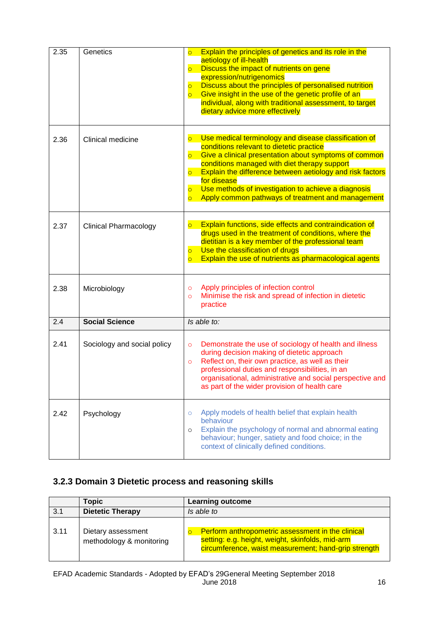| 2.35 | Genetics                     | Explain the principles of genetics and its role in the<br>$\overline{O}$<br>aetiology of ill-health<br>Discuss the impact of nutrients on gene<br>$\overline{\circ}$<br>expression/nutrigenomics<br>Discuss about the principles of personalised nutrition<br>$\overline{\bigcirc}$<br>Give insight in the use of the genetic profile of an<br>$\overline{\circ}$<br>individual, along with traditional assessment, to target<br>dietary advice more effectively                                                    |
|------|------------------------------|---------------------------------------------------------------------------------------------------------------------------------------------------------------------------------------------------------------------------------------------------------------------------------------------------------------------------------------------------------------------------------------------------------------------------------------------------------------------------------------------------------------------|
| 2.36 | Clinical medicine            | Use medical terminology and disease classification of<br>$\overline{\circ}$<br>conditions relevant to dietetic practice<br>Give a clinical presentation about symptoms of common<br>$\overline{\bigcirc}$<br>conditions managed with diet therapy support<br>Explain the difference between aetiology and risk factors<br>$\overline{\circ}$<br>for disease<br>Use methods of investigation to achieve a diagnosis<br>$\overline{\circ}$<br>Apply common pathways of treatment and management<br>$\overline{\circ}$ |
| 2.37 | <b>Clinical Pharmacology</b> | Explain functions, side effects and contraindication of<br>$\overline{O}$<br>drugs used in the treatment of conditions, where the<br>dietitian is a key member of the professional team<br>Use the classification of drugs<br>$\overline{\circ}$<br>Explain the use of nutrients as pharmacological agents<br>$\overline{O}$                                                                                                                                                                                        |
| 2.38 | Microbiology                 | Apply principles of infection control<br>$\circ$<br>Minimise the risk and spread of infection in dietetic<br>$\circ$<br>practice                                                                                                                                                                                                                                                                                                                                                                                    |
| 2.4  | <b>Social Science</b>        | Is able to:                                                                                                                                                                                                                                                                                                                                                                                                                                                                                                         |
| 2.41 | Sociology and social policy  | Demonstrate the use of sociology of health and illness<br>$\circ$<br>during decision making of dietetic approach<br>Reflect on, their own practice, as well as their<br>$\circ$<br>professional duties and responsibilities, in an<br>organisational, administrative and social perspective and<br>as part of the wider provision of health care                                                                                                                                                                    |
| 2.42 | Psychology                   | Apply models of health belief that explain health<br>$\circ$<br>behaviour<br>Explain the psychology of normal and abnormal eating<br>$\circ$<br>behaviour; hunger, satiety and food choice; in the<br>context of clinically defined conditions.                                                                                                                                                                                                                                                                     |

# **3.2.3 Domain 3 Dietetic process and reasoning skills**

|      | Topic                                          | <b>Learning outcome</b>                                                                                                                                       |
|------|------------------------------------------------|---------------------------------------------------------------------------------------------------------------------------------------------------------------|
| 3.1  | <b>Dietetic Therapy</b>                        | Is able to                                                                                                                                                    |
| 3.11 | Dietary assessment<br>methodology & monitoring | Perform anthropometric assessment in the clinical<br>setting: e.g. height, weight, skinfolds, mid-arm<br>circumference, waist measurement; hand-grip strength |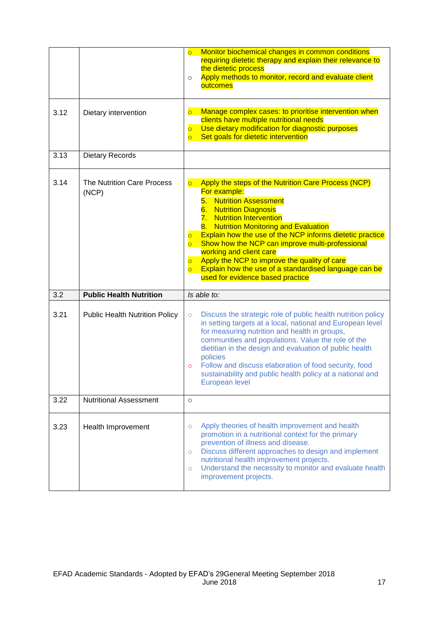| 3.12 | Dietary intervention                       | Monitor biochemical changes in common conditions<br>$\overline{\circ}$<br>requiring dietetic therapy and explain their relevance to<br>the dietetic process<br>Apply methods to monitor, record and evaluate client<br>$\circ$<br>outcomes<br>Manage complex cases: to prioritise intervention when<br>$\overline{\mathsf{C}}$                                                                                                                                                                                                                                                                                                                |
|------|--------------------------------------------|-----------------------------------------------------------------------------------------------------------------------------------------------------------------------------------------------------------------------------------------------------------------------------------------------------------------------------------------------------------------------------------------------------------------------------------------------------------------------------------------------------------------------------------------------------------------------------------------------------------------------------------------------|
|      |                                            | clients have multiple nutritional needs<br>Use dietary modification for diagnostic purposes<br>$\overline{O}$<br>Set goals for dietetic intervention<br>$\overline{O}$                                                                                                                                                                                                                                                                                                                                                                                                                                                                        |
| 3.13 | <b>Dietary Records</b>                     |                                                                                                                                                                                                                                                                                                                                                                                                                                                                                                                                                                                                                                               |
| 3.14 | <b>The Nutrition Care Process</b><br>(NCP) | Apply the steps of the Nutrition Care Process (NCP)<br>$\overline{\mathsf{C}}$<br>For example:<br><b>Nutrition Assessment</b><br>5.<br><b>Nutrition Diagnosis</b><br>6.<br><b>Nutrition Intervention</b><br>7.<br><b>Nutrition Monitoring and Evaluation</b><br>8.<br>Explain how the use of the NCP informs dietetic practice<br>$\overline{O}$<br>Show how the NCP can improve multi-professional<br>$\overline{\circ}$<br>working and client care<br>Apply the NCP to improve the quality of care<br>$\overline{\circ}$<br>Explain how the use of a standardised language can be<br>$\overline{\circ}$<br>used for evidence based practice |
| 3.2  | <b>Public Health Nutrition</b>             | Is able to:                                                                                                                                                                                                                                                                                                                                                                                                                                                                                                                                                                                                                                   |
| 3.21 |                                            |                                                                                                                                                                                                                                                                                                                                                                                                                                                                                                                                                                                                                                               |
|      | <b>Public Health Nutrition Policy</b>      | Discuss the strategic role of public health nutrition policy<br>$\circ$<br>in setting targets at a local, national and European level<br>for measuring nutrition and health in groups,<br>communities and populations. Value the role of the<br>dietitian in the design and evaluation of public health<br>policies<br>Follow and discuss elaboration of food security, food<br>$\circ$<br>sustainability and public health policy at a national and<br>European level                                                                                                                                                                        |
| 3.22 | <b>Nutritional Assessment</b>              | $\circ$                                                                                                                                                                                                                                                                                                                                                                                                                                                                                                                                                                                                                                       |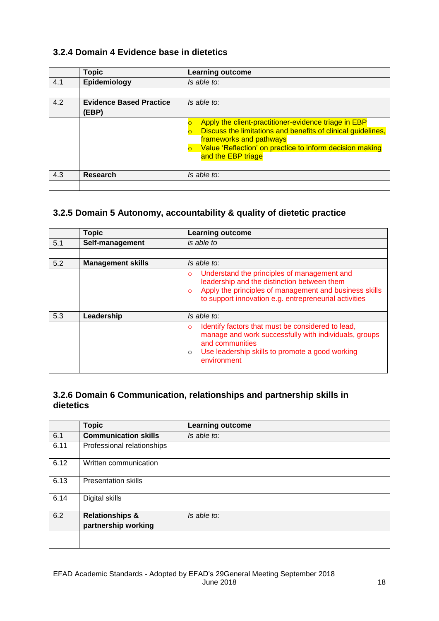## **3.2.4 Domain 4 Evidence base in dietetics**

|     | <b>Topic</b>                            | <b>Learning outcome</b>                                                                                                                                                                                                                       |
|-----|-----------------------------------------|-----------------------------------------------------------------------------------------------------------------------------------------------------------------------------------------------------------------------------------------------|
| 4.1 | Epidemiology                            | Is able to:                                                                                                                                                                                                                                   |
|     |                                         |                                                                                                                                                                                                                                               |
| 4.2 | <b>Evidence Based Practice</b><br>(EBP) | Is able to:                                                                                                                                                                                                                                   |
|     |                                         | Apply the client-practitioner-evidence triage in EBP<br>Discuss the limitations and benefits of clinical guidelines,<br>$\Omega$<br>frameworks and pathways<br>Value 'Reflection' on practice to inform decision making<br>and the EBP triage |
| 4.3 | <b>Research</b>                         | Is able to:                                                                                                                                                                                                                                   |
|     |                                         |                                                                                                                                                                                                                                               |

## **3.2.5 Domain 5 Autonomy, accountability & quality of dietetic practice**

|     | <b>Topic</b>             | <b>Learning outcome</b>                                                                                                                                                                                                               |
|-----|--------------------------|---------------------------------------------------------------------------------------------------------------------------------------------------------------------------------------------------------------------------------------|
| 5.1 | Self-management          | is able to                                                                                                                                                                                                                            |
|     |                          |                                                                                                                                                                                                                                       |
| 5.2 | <b>Management skills</b> | Is able to:                                                                                                                                                                                                                           |
|     |                          | Understand the principles of management and<br>$\Omega$<br>leadership and the distinction between them<br>Apply the principles of management and business skills<br>$\Omega$<br>to support innovation e.g. entrepreneurial activities |
| 5.3 | Leadership               | Is able to:                                                                                                                                                                                                                           |
|     |                          | Identify factors that must be considered to lead,<br>O<br>manage and work successfully with individuals, groups<br>and communities<br>Use leadership skills to promote a good working<br>$\circ$<br>environment                       |

## **3.2.6 Domain 6 Communication, relationships and partnership skills in dietetics**

|      | <b>Topic</b>                | <b>Learning outcome</b> |
|------|-----------------------------|-------------------------|
| 6.1  | <b>Communication skills</b> | Is able to:             |
| 6.11 | Professional relationships  |                         |
| 6.12 | Written communication       |                         |
| 6.13 | <b>Presentation skills</b>  |                         |
| 6.14 | Digital skills              |                         |
| 6.2  | <b>Relationships &amp;</b>  | Is able to:             |
|      | partnership working         |                         |
|      |                             |                         |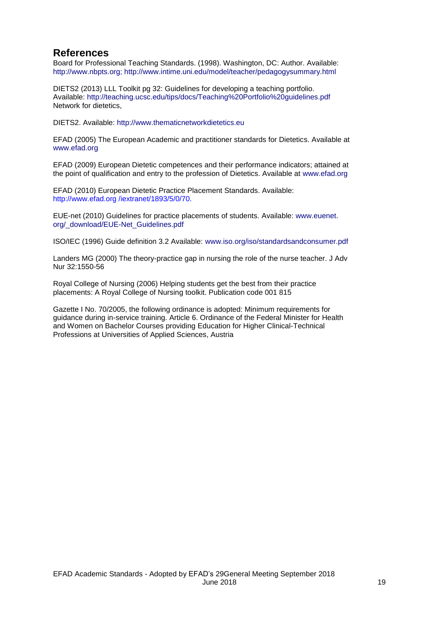## **References**

Board for Professional Teaching Standards. (1998). Washington, DC: Author. Available: http://www.nbpts.org; http://www.intime.uni.edu/model/teacher/pedagogysummary.html

DIETS2 (2013) LLL Toolkit pg 32: Guidelines for developing a teaching portfolio. Available: http://teaching.ucsc.edu/tips/docs/Teaching%20Portfolio%20guidelines.pdf Network for dietetics,

DIETS2. Available: http://www.thematicnetworkdietetics.eu

EFAD (2005) The European Academic and practitioner standards for Dietetics. Available at www.efad.org

EFAD (2009) European Dietetic competences and their performance indicators; attained at the point of qualification and entry to the profession of Dietetics. Available at www.efad.org

EFAD (2010) European Dietetic Practice Placement Standards. Available: http://www.efad.org /iextranet/1893/5/0/70.

EUE-net (2010) Guidelines for practice placements of students. Available: www.euenet. org/\_download/EUE-Net\_Guidelines.pdf

ISO/IEC (1996) Guide definition 3.2 Available: www.iso.org/iso/standardsandconsumer.pdf

Landers MG (2000) The theory-practice gap in nursing the role of the nurse teacher. J Adv Nur 32:1550-56

Royal College of Nursing (2006) Helping students get the best from their practice placements: A Royal College of Nursing toolkit. Publication code 001 815

Gazette I No. 70/2005, the following ordinance is adopted: Minimum requirements for guidance during in-service training. Article 6. Ordinance of the Federal Minister for Health and Women on Bachelor Courses providing Education for Higher Clinical-Technical Professions at Universities of Applied Sciences, Austria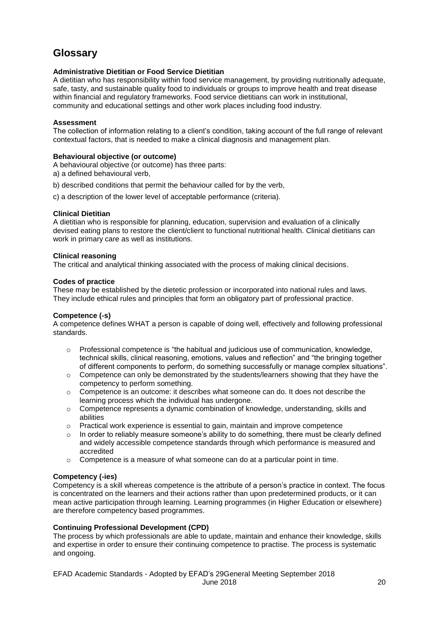# **Glossary**

#### **Administrative Dietitian or Food Service Dietitian**

A dietitian who has responsibility within food service management, by providing nutritionally adequate, safe, tasty, and sustainable quality food to individuals or groups to improve health and treat disease within financial and regulatory frameworks. Food service dietitians can work in institutional, community and educational settings and other work places including food industry.

#### **Assessment**

The collection of information relating to a client's condition, taking account of the full range of relevant contextual factors, that is needed to make a clinical diagnosis and management plan.

#### **Behavioural objective (or outcome)**

A behavioural objective (or outcome) has three parts:

a) a defined behavioural verb,

b) described conditions that permit the behaviour called for by the verb,

c) a description of the lower level of acceptable performance (criteria).

#### **Clinical Dietitian**

A dietitian who is responsible for planning, education, supervision and evaluation of a clinically devised eating plans to restore the client/client to functional nutritional health. Clinical dietitians can work in primary care as well as institutions.

#### **Clinical reasoning**

The critical and analytical thinking associated with the process of making clinical decisions.

#### **Codes of practice**

These may be established by the dietetic profession or incorporated into national rules and laws. They include ethical rules and principles that form an obligatory part of professional practice.

#### **Competence (-s)**

A competence defines WHAT a person is capable of doing well, effectively and following professional standards.

- $\circ$  Professional competence is "the habitual and judicious use of communication, knowledge, technical skills, clinical reasoning, emotions, values and reflection" and "the bringing together of different components to perform, do something successfully or manage complex situations".
- $\circ$  Competence can only be demonstrated by the students/learners showing that they have the competency to perform something.
- $\circ$  Competence is an outcome: it describes what someone can do. It does not describe the learning process which the individual has undergone.
- $\circ$  Competence represents a dynamic combination of knowledge, understanding, skills and abilities
- o Practical work experience is essential to gain, maintain and improve competence
- $\circ$  In order to reliably measure someone's ability to do something, there must be clearly defined and widely accessible competence standards through which performance is measured and accredited
- $\circ$  Competence is a measure of what someone can do at a particular point in time.

#### **Competency (-ies)**

Competency is a skill whereas competence is the attribute of a person's practice in context. The focus is concentrated on the learners and their actions rather than upon predetermined products, or it can mean active participation through learning. Learning programmes (in Higher Education or elsewhere) are therefore competency based programmes.

#### **Continuing Professional Development (CPD)**

The process by which professionals are able to update, maintain and enhance their knowledge, skills and expertise in order to ensure their continuing competence to practise. The process is systematic and ongoing.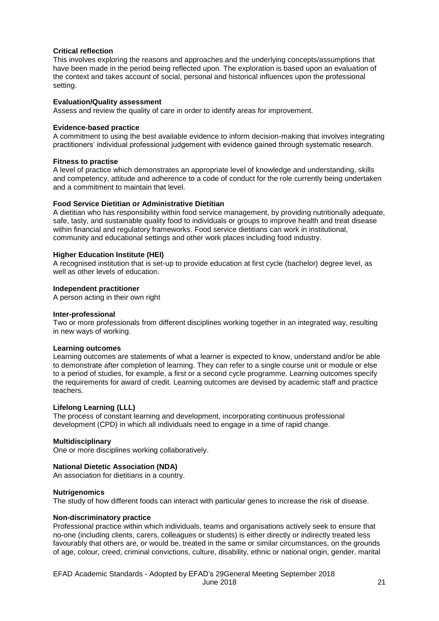#### **Critical reflection**

This involves exploring the reasons and approaches and the underlying concepts/assumptions that have been made in the period being reflected upon. The exploration is based upon an evaluation of the context and takes account of social, personal and historical influences upon the professional setting.

#### **Evaluation/Quality assessment**

Assess and review the quality of care in order to identify areas for improvement.

#### **Evidence-based practice**

A commitment to using the best available evidence to inform decision-making that involves integrating practitioners' individual professional judgement with evidence gained through systematic research.

#### **Fitness to practise**

A level of practice which demonstrates an appropriate level of knowledge and understanding, skills and competency, attitude and adherence to a code of conduct for the role currently being undertaken and a commitment to maintain that level.

#### **Food Service Dietitian or Administrative Dietitian**

A dietitian who has responsibility within food service management, by providing nutritionally adequate, safe, tasty, and sustainable quality food to individuals or groups to improve health and treat disease within financial and regulatory frameworks. Food service dietitians can work in institutional, community and educational settings and other work places including food industry.

#### **Higher Education Institute (HEI)**

A recognised institution that is set-up to provide education at first cycle (bachelor) degree level, as well as other levels of education.

#### **Independent practitioner**

A person acting in their own right

#### **Inter-professional**

Two or more professionals from different disciplines working together in an integrated way, resulting in new ways of working.

#### **Learning outcomes**

Learning outcomes are statements of what a learner is expected to know, understand and/or be able to demonstrate after completion of learning. They can refer to a single course unit or module or else to a period of studies, for example, a first or a second cycle programme. Learning outcomes specify the requirements for award of credit. Learning outcomes are devised by academic staff and practice teachers.

#### **Lifelong Learning (LLL)**

The process of constant learning and development, incorporating continuous professional development (CPD) in which all individuals need to engage in a time of rapid change.

#### **Multidisciplinary**

One or more disciplines working collaboratively.

#### **National Dietetic Association (NDA)**

An association for dietitians in a country.

#### **Nutrigenomics**

The study of how different foods can interact with particular genes to increase the risk of disease.

#### **Non-discriminatory practice**

Professional practice within which individuals, teams and organisations actively seek to ensure that no-one (including clients, carers, colleagues or students) is either directly or indirectly treated less favourably that others are, or would be, treated in the same or similar circumstances, on the grounds of age, colour, creed, criminal convictions, culture, disability, ethnic or national origin, gender, marital